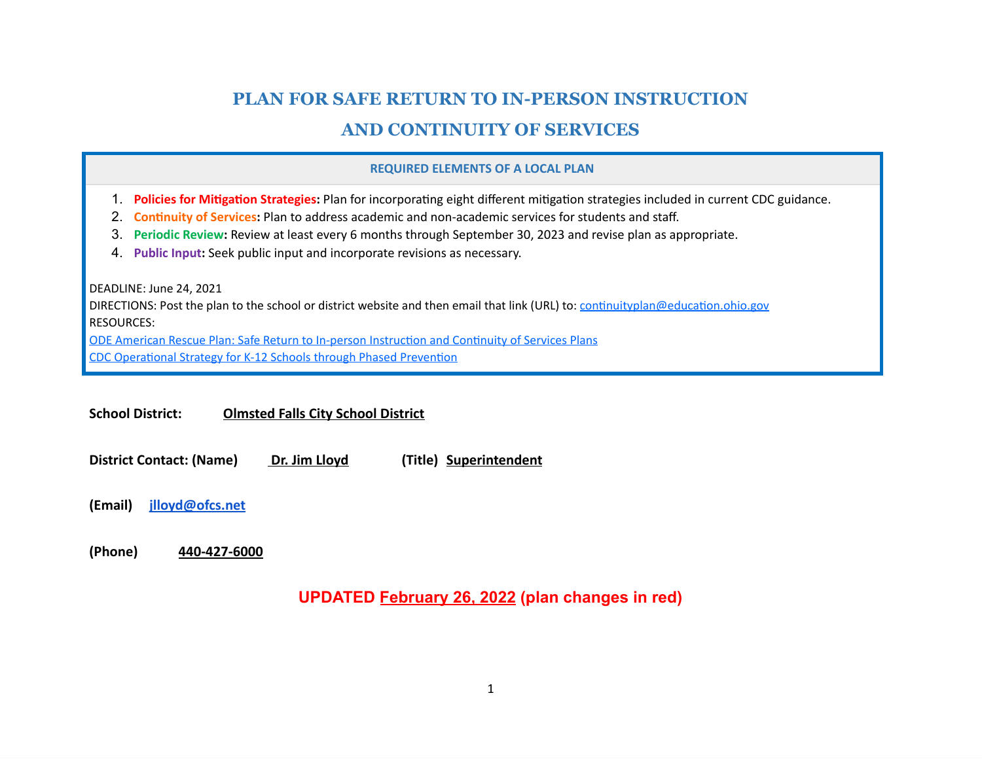# **PLAN FOR SAFE RETURN TO IN-PERSON INSTRUCTION**

# **AND CONTINUITY OF SERVICES**

#### **REQUIRED ELEMENTS OF A LOCAL PLAN**

- 1. **Policies for Mitigation Strategies:** Plan for incorporating eight different mitigation strategies included in current CDC guidance.
- 2. **Continuity of Services:** Plan to address academic and non-academic services for students and staff.
- 3. **Periodic Review:** Review at least every 6 months through September 30, 2023 and revise plan as appropriate.
- 4. **Public Input:** Seek public input and incorporate revisions as necessary.

DEADLINE: June 24, 2021

DIRECTIONS: Post the plan to the school or district website and then email that link (URL) to: [continuityplan@education.ohio.gov](mailto:continuityplan@education.ohio.gov) RESOURCES:

ODE American Rescue Plan: Safe Return to In-person [Instruction](http://education.ohio.gov/Topics/Reset-and-Restart/American-Rescue-Plan-Safe-Return-to-In-person-Ins) and Continuity of Services Plans CDC [Operational](https://www.cdc.gov/coronavirus/2019-ncov/community/schools-childcare/operation-strategy.html#anchor_1616080084165) Strategy for K-12 Schools through Phased Prevention

**School District: Olmsted Falls City School District**

**District Contact: (Name) Dr. Jim Lloyd (Title) Superintendent**

**(Email) [jlloyd@ofcs.net](mailto:jlloyd@ofcs.net)**

**(Phone) 440-427-6000**

**UPDATED February 26, 2022 (plan changes in red)**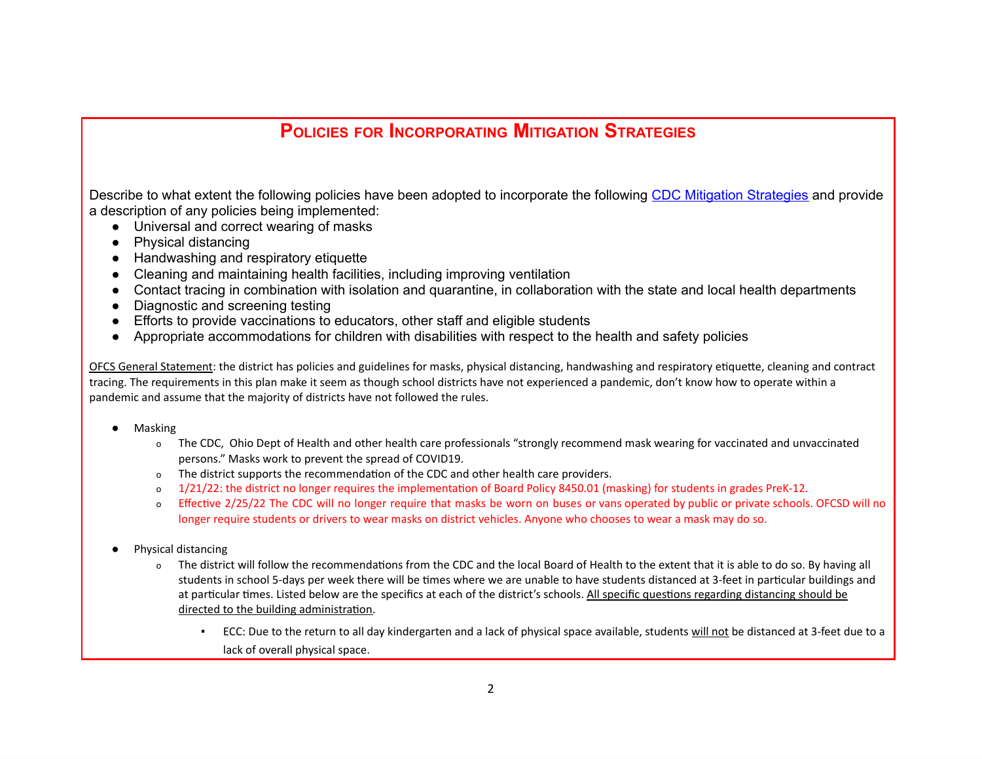# **POLICIES FOR INCORPORATING MITIGATION STRATEGIES**

Describe to what extent the following policies have been adopted to incorporate the following CDC Mitigation [Strategies](https://www.cdc.gov/coronavirus/2019-ncov/community/schools-childcare/operation-strategy.html#anchor_1616080084165) and provide a description of any policies being implemented:

- Universal and correct wearing of masks
- Physical distancing
- Handwashing and respiratory etiquette
- Cleaning and maintaining health facilities, including improving ventilation
- Contact tracing in combination with isolation and quarantine, in collaboration with the state and local health departments
- Diagnostic and screening testing
- Efforts to provide vaccinations to educators, other staff and eligible students
- Appropriate accommodations for children with disabilities with respect to the health and safety policies

OFCS General Statement: the district has policies and guidelines for masks, physical distancing, handwashing and respiratory etiquette, cleaning and contract tracing. The requirements in this plan make it seem as though school districts have not experienced a pandemic, don't know how to operate within a pandemic and assume that the majority of districts have not followed the rules.

- **Masking** 
	- o The CDC, Ohio Dept of Health and other health care professionals "strongly recommend mask wearing for vaccinated and unvaccinated persons." Masks work to prevent the spread of COVID19.
	- o The district supports the recommendation of the CDC and other health care providers.
	- o 1/21/22: the district no longer requires the implementation of Board Policy 8450.01 (masking) for students in grades PreK-12.
	- o Effective 2/25/22 The CDC will no longer require that masks be worn on buses or vans operated by public or private schools. OFCSD will no longer require students or drivers to wear masks on district vehicles. Anyone who chooses to wear a mask may do so.
- Physical distancing
	- o The district will follow the recommendations from the CDC and the local Board of Health to the extent that it is able to do so. By having all students in school 5-days per week there will be times where we are unable to have students distanced at 3-feet in particular buildings and at particular times. Listed below are the specifics at each of the district's schools. All specific questions regarding distancing should be directed to the building administration.
		- ECC: Due to the return to all day kindergarten and a lack of physical space available, students will not be distanced at 3-feet due to a lack of overall physical space.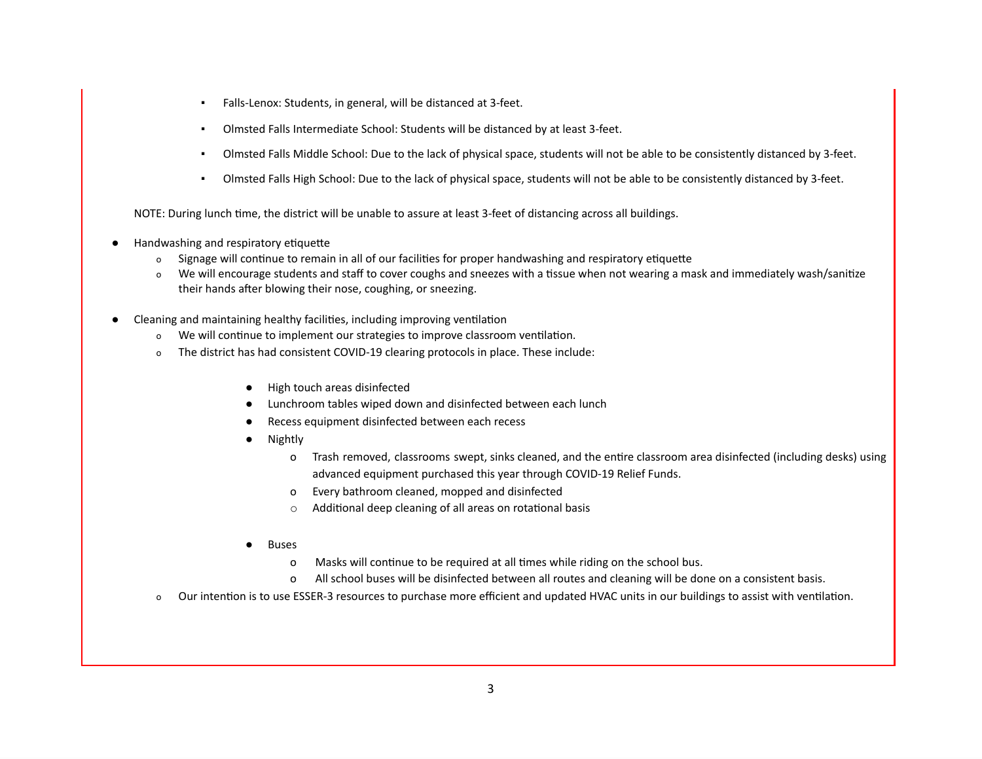- Falls-Lenox: Students, in general, will be distanced at 3-feet.
- Olmsted Falls Intermediate School: Students will be distanced by at least 3-feet.
- Olmsted Falls Middle School: Due to the lack of physical space, students will not be able to be consistently distanced by 3-feet.
- Olmsted Falls High School: Due to the lack of physical space, students will not be able to be consistently distanced by 3-feet.

NOTE: During lunch time, the district will be unable to assure at least 3-feet of distancing across all buildings.

- Handwashing and respiratory etiquette
	- o Signage will continue to remain in all of our facilities for proper handwashing and respiratory etiquette
	- o We will encourage students and staff to cover coughs and sneezes with a tissue when not wearing a mask and immediately wash/sanitize their hands after blowing their nose, coughing, or sneezing.
- Cleaning and maintaining healthy facilities, including improving ventilation
	- o We will continue to implement our strategies to improve classroom ventilation.
	- o The district has had consistent COVID-19 clearing protocols in place. These include:
		- High touch areas disinfected
		- Lunchroom tables wiped down and disinfected between each lunch
		- Recess equipment disinfected between each recess
		- **Nightly** 
			- o Trash removed, classrooms swept, sinks cleaned, and the entire classroom area disinfected (including desks) using advanced equipment purchased this year through COVID-19 Relief Funds.
			- o Every bathroom cleaned, mopped and disinfected
			- o Additional deep cleaning of all areas on rotational basis
		- **Buses** 
			- o Masks will continue to be required at all times while riding on the school bus.
			- o All school buses will be disinfected between all routes and cleaning will be done on a consistent basis.
	- o Our intention is to use ESSER-3 resources to purchase more efficient and updated HVAC units in our buildings to assist with ventilation.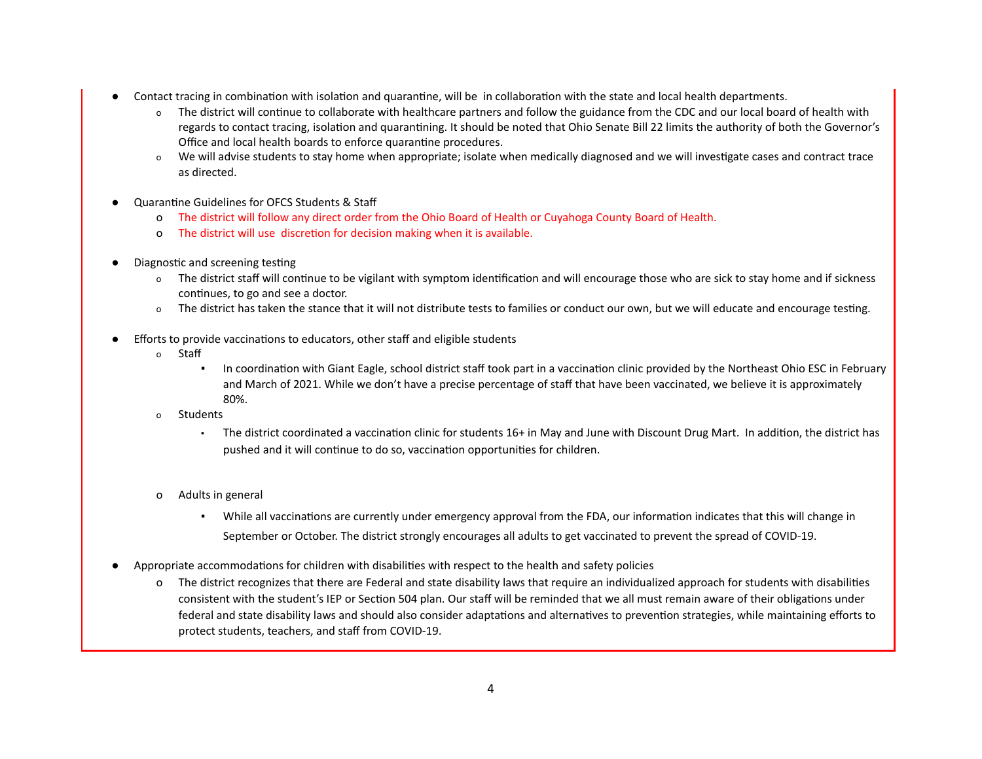- Contact tracing in combination with isolation and quarantine, will be in collaboration with the state and local health departments.
	- o The district will continue to collaborate with healthcare partners and follow the guidance from the CDC and our local board of health with regards to contact tracing, isolation and quarantining. It should be noted that Ohio Senate Bill 22 limits the authority of both the Governor's Office and local health boards to enforce quarantine procedures.
	- o We will advise students to stay home when appropriate; isolate when medically diagnosed and we will investigate cases and contract trace as directed.
- Quarantine Guidelines for OFCS Students & Staff
	- o The district will follow any direct order from the Ohio Board of Health or Cuyahoga County Board of Health.
	- o The district will use discretion for decision making when it is available.
- Diagnostic and screening testing
	- o The district staff will continue to be vigilant with symptom identification and will encourage those who are sick to stay home and if sickness continues, to go and see a doctor.
	- o The district has taken the stance that it will not distribute tests to families or conduct our own, but we will educate and encourage testing.
- Efforts to provide vaccinations to educators, other staff and eligible students
	- o Staff
		- In coordination with Giant Eagle, school district staff took part in a vaccination clinic provided by the Northeast Ohio ESC in February and March of 2021. While we don't have a precise percentage of staff that have been vaccinated, we believe it is approximately 80%.
	- o Students
		- The district coordinated a vaccination clinic for students 16+ in May and June with Discount Drug Mart. In addition, the district has pushed and it will continue to do so, vaccination opportunities for children.
	- o Adults in general
		- While all vaccinations are currently under emergency approval from the FDA, our information indicates that this will change in September or October. The district strongly encourages all adults to get vaccinated to prevent the spread of COVID-19.
- Appropriate accommodations for children with disabilities with respect to the health and safety policies
	- o The district recognizes that there are Federal and state disability laws that require an individualized approach for students with disabilities consistent with the student's IEP or Section 504 plan. Our staff will be reminded that we all must remain aware of their obligations under federal and state disability laws and should also consider adaptations and alternatives to prevention strategies, while maintaining efforts to protect students, teachers, and staff from COVID-19.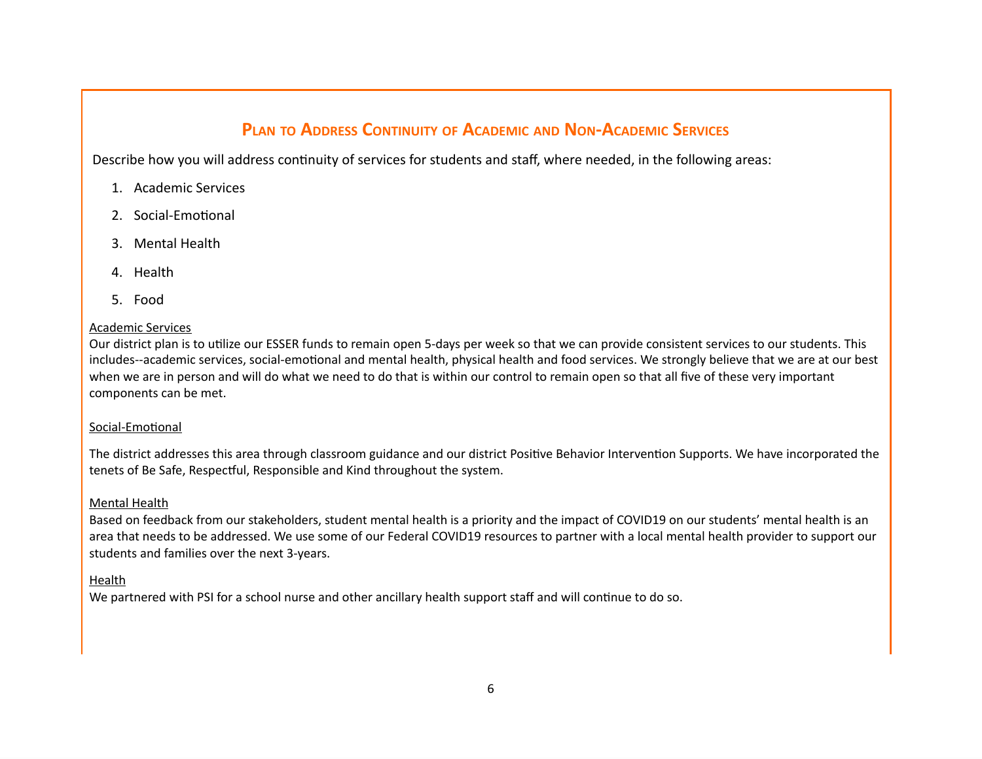# **PLAN TO ADDRESS CONTINUITY OF ACADEMIC AND NON-ACADEMIC SERVICES**

Describe how you will address continuity of services for students and staff, where needed, in the following areas:

- 1. Academic Services
- 2. Social-Emotional
- 3. Mental Health
- 4. Health
- 5. Food

### Academic Services

Our district plan is to utilize our ESSER funds to remain open 5-days per week so that we can provide consistent services to our students. This includes--academic services, social-emotional and mental health, physical health and food services. We strongly believe that we are at our best when we are in person and will do what we need to do that is within our control to remain open so that all five of these very important components can be met.

### Social-Emotional

The district addresses this area through classroom guidance and our district Positive Behavior Intervention Supports. We have incorporated the tenets of Be Safe, Respectful, Responsible and Kind throughout the system.

### Mental Health

Based on feedback from our stakeholders, student mental health is a priority and the impact of COVID19 on our students' mental health is an area that needs to be addressed. We use some of our Federal COVID19 resources to partner with a local mental health provider to support our students and families over the next 3-years.

## **Health**

We partnered with PSI for a school nurse and other ancillary health support staff and will continue to do so.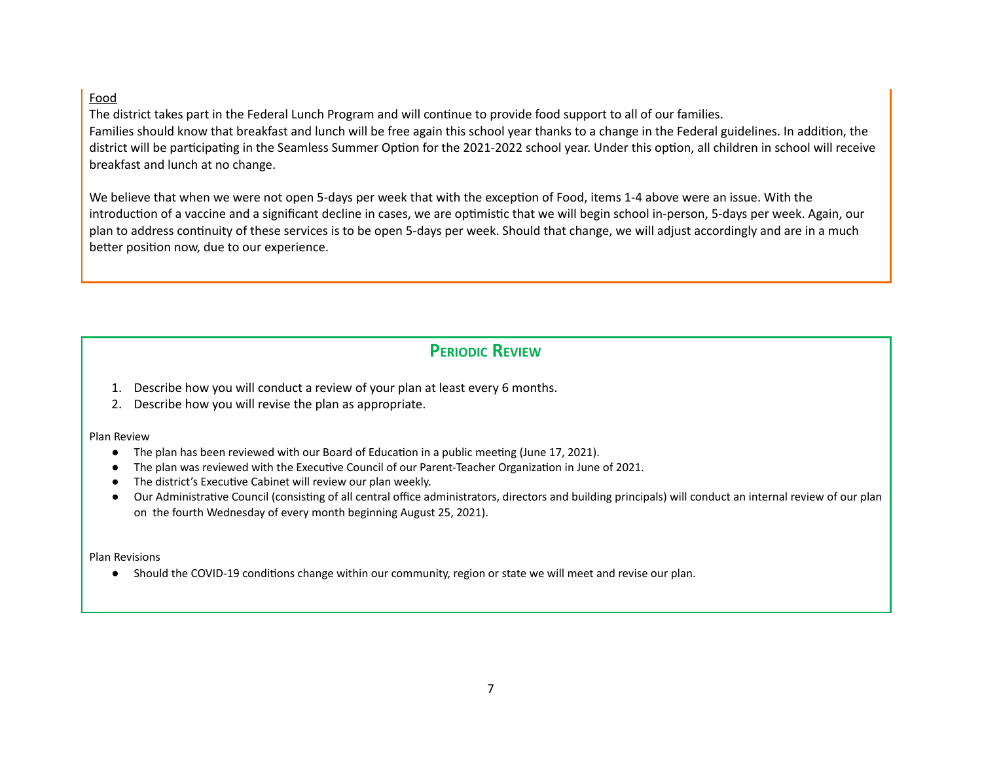### Food

The district takes part in the Federal Lunch Program and will continue to provide food support to all of our families. Families should know that breakfast and lunch will be free again this school year thanks to a change in the Federal guidelines. In addition, the district will be participating in the Seamless Summer Option for the 2021-2022 school year. Under this option, all children in school will receive breakfast and lunch at no change.

We believe that when we were not open 5-days per week that with the exception of Food, items 1-4 above were an issue. With the introduction of a vaccine and a significant decline in cases, we are optimistic that we will begin school in-person, 5-days per week. Again, our plan to address continuity of these services is to be open 5-days per week. Should that change, we will adjust accordingly and are in a much better position now, due to our experience.

## **PERIODIC REVIEW**

- 1. Describe how you will conduct a review of your plan at least every 6 months.
- 2. Describe how you will revise the plan as appropriate.

#### Plan Review

- The plan has been reviewed with our Board of Education in a public meeting (June 17, 2021).
- The plan was reviewed with the Executive Council of our Parent-Teacher Organization in June of 2021.
- The district's Executive Cabinet will review our plan weekly.
- Our Administrative Council (consisting of all central office administrators, directors and building principals) will conduct an internal review of our plan on the fourth Wednesday of every month beginning August 25, 2021).

#### Plan Revisions

● Should the COVID-19 conditions change within our community, region or state we will meet and revise our plan.